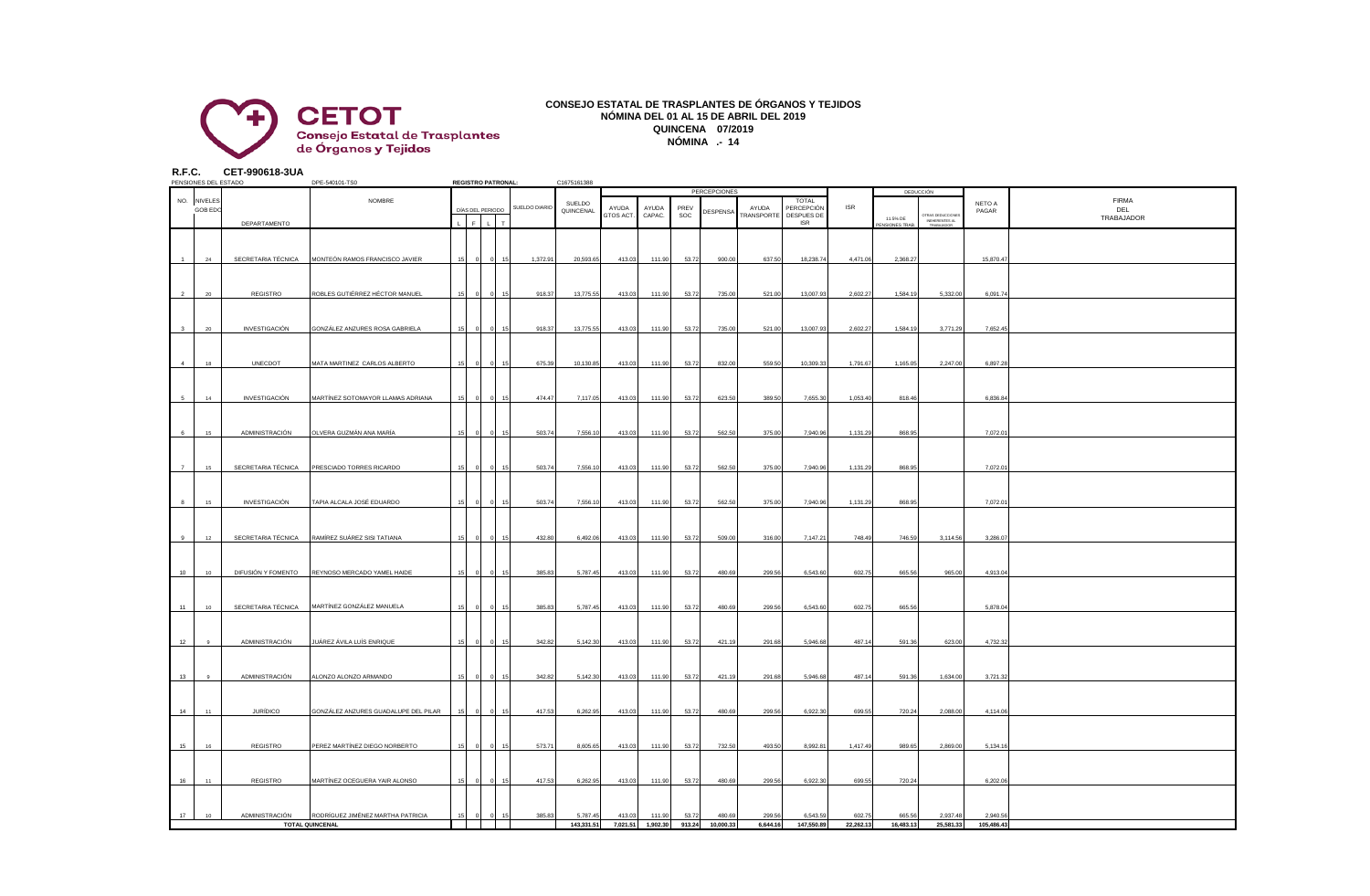

## **CONSEJO ESTATAL DE TRASPLANTES DE ÓRGANOS Y TEJIDOS NÓMINA DEL 01 AL 15 DE ABRIL DEL 2019 QUINCENA 07/2019 NÓMINA .- 14**

**R.F.C. CET-990618-3UA**

|                | PENSIONES DEL ESTADO |                 | DPE-540101-TS0                                    |    | <b>REGISTRO PATRONAL:</b> |                |               | C1675161388 |                    |                   |       |                  |                     |                     |            |                            |                                                  |            |              |
|----------------|----------------------|-----------------|---------------------------------------------------|----|---------------------------|----------------|---------------|-------------|--------------------|-------------------|-------|------------------|---------------------|---------------------|------------|----------------------------|--------------------------------------------------|------------|--------------|
|                |                      |                 |                                                   |    |                           |                |               |             |                    |                   |       | PERCEPCIONES     |                     |                     |            |                            | DEDUCCIÓN                                        |            |              |
|                | NO. NIVELES          |                 | NOMBRE                                            |    |                           |                | SUELDO DIARIO | SUELDO      |                    |                   | PREV  |                  |                     | TOTAL<br>PERCEPCIÓN | <b>ISR</b> |                            |                                                  | NETO A     | <b>FIRMA</b> |
|                | <b>GOB EDC</b>       |                 |                                                   |    | DÍAS DEL PERIODO          |                |               | QUINCENAL   | AYUDA<br>GTOS ACT. | AYUDA<br>CAPAC.   | SOC   | DESPENSA         | AYUDA<br>TRANSPORTE | DESPUES DE          |            |                            |                                                  | PAGAR      | DEL          |
|                |                      | DEPARTAMENTO    |                                                   |    | $F \perp$                 |                |               |             |                    |                   |       |                  |                     | <b>ISR</b>          |            | 11.5% DE<br>PENSIONES TRAB | TRAS DEDUCCIONES<br>INEHERENTES AL<br>TRABAJADOR |            | TRABAJADOR   |
|                |                      |                 |                                                   |    |                           |                |               |             |                    |                   |       |                  |                     |                     |            |                            |                                                  |            |              |
|                |                      |                 |                                                   |    |                           |                |               |             |                    |                   |       |                  |                     |                     |            |                            |                                                  |            |              |
|                |                      |                 |                                                   |    |                           |                |               |             |                    |                   |       |                  |                     |                     |            |                            |                                                  |            |              |
|                |                      |                 | SECRETARIA TÉCNICA MONTEÓN RAMOS FRANCISCO JAVIER |    |                           |                | 1,372.91      | 20,593.65   | 413.03             | 111.90            | 53.72 | 900.00           | 637.50              | 18,238.74           | 4,471.06   | 2,368.27                   |                                                  | 15,870.47  |              |
|                |                      |                 |                                                   |    |                           |                |               |             |                    |                   |       |                  |                     |                     |            |                            |                                                  |            |              |
|                |                      |                 |                                                   |    |                           |                |               |             |                    |                   |       |                  |                     |                     |            |                            |                                                  |            |              |
|                |                      | REGISTRO        | ROBLES GUTIÉRREZ HÉCTOR MANUEL                    |    |                           |                | 918.37        | 13,775.55   | 413.03             | 111.90            | 53.72 | 735.00           | 521.00              | 13,007.93           | 2,602.27   | 1,584.19                   | 5,332.00                                         | 6,091.74   |              |
|                |                      |                 |                                                   |    |                           |                |               |             |                    |                   |       |                  |                     |                     |            |                            |                                                  |            |              |
|                |                      |                 |                                                   |    |                           |                |               |             |                    |                   |       |                  |                     |                     |            |                            |                                                  |            |              |
|                |                      |                 |                                                   |    |                           |                |               |             |                    |                   |       |                  |                     |                     |            |                            |                                                  |            |              |
| 3              | 20                   | INVESTIGACIÓN   | GONZÁLEZ ANZURES ROSA GABRIELA                    |    |                           | 15             | 918.37        | 13,775.55   | 413.03             | 111.90            | 53.72 | 735.00           | 521.00              | 13,007.93           | 2,602.27   | 1,584.19                   | 3,771.29                                         | 7,652.45   |              |
|                |                      |                 |                                                   |    |                           |                |               |             |                    |                   |       |                  |                     |                     |            |                            |                                                  |            |              |
|                |                      |                 |                                                   |    |                           |                |               |             |                    |                   |       |                  |                     |                     |            |                            |                                                  |            |              |
| $\overline{4}$ | 18                   | UNECDOT         | MATA MARTINEZ CARLOS ALBERTO                      |    |                           |                | 675.39        | 10,130.85   | 413.03             | 111.90            | 53.72 | 832.00           | 559.50              | 10,309.33           | 1,791.67   | 1,165.05                   | 2,247.00                                         | 6,897.28   |              |
|                |                      |                 |                                                   |    |                           |                |               |             |                    |                   |       |                  |                     |                     |            |                            |                                                  |            |              |
|                |                      |                 |                                                   |    |                           |                |               |             |                    |                   |       |                  |                     |                     |            |                            |                                                  |            |              |
|                |                      |                 |                                                   |    |                           |                |               |             |                    |                   |       |                  |                     |                     |            |                            |                                                  |            |              |
| 5              | 14                   | INVESTIGACIÓN   | MARTÍNEZ SOTOMAYOR LLAMAS ADRIANA                 |    |                           |                | 474.47        | 7,117.05    | 413.03             | 111.90            | 53.72 | 623.50           | 389.50              | 7,655.30            | 1,053.40   | 818.46                     |                                                  | 6,836.8    |              |
|                |                      |                 |                                                   |    |                           |                |               |             |                    |                   |       |                  |                     |                     |            |                            |                                                  |            |              |
|                |                      |                 |                                                   |    |                           |                |               |             |                    |                   |       |                  |                     |                     |            |                            |                                                  |            |              |
| 6              | 15 <sub>15</sub>     | ADMINISTRACIÓN  | OLVERA GUZMÁN ANA MARÍA                           |    |                           |                | 503.74        | 7,556.10    | 413.03             | 111.90            | 53.72 | 562.50           | 375.00              | 7,940.96            | 1,131.29   | 868.95                     |                                                  | 7,072.0    |              |
|                |                      |                 |                                                   |    |                           |                |               |             |                    |                   |       |                  |                     |                     |            |                            |                                                  |            |              |
|                |                      |                 |                                                   |    |                           |                |               |             |                    |                   |       |                  |                     |                     |            |                            |                                                  |            |              |
|                |                      |                 |                                                   |    |                           |                |               |             |                    |                   |       |                  |                     |                     |            |                            |                                                  |            |              |
| $\overline{7}$ | 15                   |                 | SECRETARIA TÉCNICA PRESCIADO TORRES RICARDO       |    |                           |                | 503.74        | 7,556.10    | 413.03             | 111.90            | 53.72 | 562.50           | 375.00              | 7,940.96            | 1.131.29   | 868.95                     |                                                  | 7,072.0    |              |
|                |                      |                 |                                                   |    |                           |                |               |             |                    |                   |       |                  |                     |                     |            |                            |                                                  |            |              |
|                |                      |                 |                                                   |    |                           |                |               |             |                    |                   |       |                  |                     |                     |            |                            |                                                  |            |              |
| $\mathbf{a}$   | 15                   | INVESTIGACIÓN   | TAPIA ALCALA JOSÉ EDUARDO                         |    |                           |                | 503.74        | 7,556.10    | 413.03             | 111.90            | 53.72 | 562.50           | 375.00              | 7,940.96            | 1,131.29   | 868.95                     |                                                  | 7,072.0    |              |
|                |                      |                 |                                                   |    |                           |                |               |             |                    |                   |       |                  |                     |                     |            |                            |                                                  |            |              |
|                |                      |                 |                                                   |    |                           |                |               |             |                    |                   |       |                  |                     |                     |            |                            |                                                  |            |              |
|                |                      |                 |                                                   |    |                           |                |               |             |                    |                   |       |                  |                     |                     |            |                            |                                                  |            |              |
| 9              | 12                   |                 | SECRETARIA TÉCNICA RAMÍREZ SUÁREZ SISI TATIANA    |    |                           |                | 432.80        | 6,492.06    | 413.03             | 111.90            | 53.72 | 509.00           | 316.00              | 7,147.21            | 748.49     | 746.59                     | 3,114.56                                         | 3,286.0    |              |
|                |                      |                 |                                                   |    |                           |                |               |             |                    |                   |       |                  |                     |                     |            |                            |                                                  |            |              |
|                |                      |                 |                                                   |    |                           |                |               |             |                    |                   |       |                  |                     |                     |            |                            |                                                  |            |              |
| 10             | 10 <sub>10</sub>     |                 | DIFUSIÓN Y FOMENTO REYNOSO MERCADO YAMEL HAIDE    |    |                           |                | 385.83        | 5,787.45    | 413.03             | 111.90            | 53.72 | 480.69           | 299.56              | 6,543.60            | 602.75     | 665.56                     | 965.00                                           | 4,913.0    |              |
|                |                      |                 |                                                   |    |                           |                |               |             |                    |                   |       |                  |                     |                     |            |                            |                                                  |            |              |
|                |                      |                 |                                                   |    |                           |                |               |             |                    |                   |       |                  |                     |                     |            |                            |                                                  |            |              |
| 11             | 10 <sub>10</sub>     |                 | SECRETARIA TÉCNICA MARTÍNEZ GONZÁLEZ MANUELA      |    |                           |                | 385.83        | 5,787.45    | 413.03             | 111.90            | 53.72 | 480.69           | 299.56              | 6,543.60            | 602.75     | 665.56                     |                                                  | 5,878.0    |              |
|                |                      |                 |                                                   |    |                           |                |               |             |                    |                   |       |                  |                     |                     |            |                            |                                                  |            |              |
|                |                      |                 |                                                   |    |                           |                |               |             |                    |                   |       |                  |                     |                     |            |                            |                                                  |            |              |
|                |                      |                 |                                                   |    |                           |                |               |             |                    |                   |       |                  |                     |                     |            |                            |                                                  |            |              |
| 12             |                      | ADMINISTRACIÓN  | JUÁREZ ÁVILA LUÍS ENRIQUE                         |    |                           |                | 342.82        | 5,142.30    | 413.03             | 111.90            | 53.72 | 421.19           | 291.68              | 5,946.68            | 487.14     | 591.36                     | 623.00                                           | 4,732.3    |              |
|                |                      |                 |                                                   |    |                           |                |               |             |                    |                   |       |                  |                     |                     |            |                            |                                                  |            |              |
|                |                      |                 |                                                   |    |                           |                |               |             |                    |                   |       |                  |                     |                     |            |                            |                                                  |            |              |
| 13             |                      | ADMINISTRACIÓN  | ALONZO ALONZO ARMANDO                             |    |                           |                | 342.82        | 5,142.30    | 413.03             | 111.90            | 53.72 | 421.19           | 291.68              | 5,946.68            | 487.14     | 591.36                     | 1,634.00                                         | 3,721.3    |              |
|                |                      |                 |                                                   |    |                           |                |               |             |                    |                   |       |                  |                     |                     |            |                            |                                                  |            |              |
|                |                      |                 |                                                   |    |                           |                |               |             |                    |                   |       |                  |                     |                     |            |                            |                                                  |            |              |
|                |                      |                 |                                                   |    |                           |                |               |             |                    |                   |       |                  |                     |                     |            |                            |                                                  |            |              |
| 14             | 11                   | <b>JURÍDICO</b> | GONZÁLEZ ANZURES GUADALUPE DEL PILAR              | 15 | $\Omega$                  | $\Omega$<br>15 | 417.53        | 6,262.95    | 413.03             | 111.90            | 53.72 | 480.69           | 299.56              | 6,922.30            | 699.55     | 720.24                     | 2,088.00                                         | 4,114.06   |              |
|                |                      |                 |                                                   |    |                           |                |               |             |                    |                   |       |                  |                     |                     |            |                            |                                                  |            |              |
|                |                      |                 |                                                   |    |                           |                |               |             |                    |                   |       |                  |                     |                     |            |                            |                                                  |            |              |
| 15             | 16                   | <b>REGISTRO</b> | PEREZ MARTÍNEZ DIEGO NORBERTO                     |    |                           |                | 573.71        | 8,605.65    | 413.03             | 111.90            | 53.72 | 732.50           | 493.50              | 8,992.8             | 1,417.49   | 989.65                     | 2,869.00                                         | 5,134.1    |              |
|                |                      |                 |                                                   |    |                           |                |               |             |                    |                   |       |                  |                     |                     |            |                            |                                                  |            |              |
|                |                      |                 |                                                   |    |                           |                |               |             |                    |                   |       |                  |                     |                     |            |                            |                                                  |            |              |
|                | 11                   |                 | MARTÍNEZ OCEGUERA YAIR ALONSO                     |    |                           |                |               |             |                    |                   |       |                  |                     |                     |            |                            |                                                  |            |              |
| 16             |                      | <b>REGISTRO</b> |                                                   |    |                           |                | 417.53        | 6,262.95    | 413.03             | 111.90            | 53.72 | 480.69           | 299.56              | 6,922.30            | 699.55     | 720.24                     |                                                  | 6,202.0    |              |
|                |                      |                 |                                                   |    |                           |                |               |             |                    |                   |       |                  |                     |                     |            |                            |                                                  |            |              |
|                |                      |                 |                                                   |    |                           |                |               |             |                    |                   |       |                  |                     |                     |            |                            |                                                  |            |              |
| 17             | 10                   | ADMINISTRACIÓN  | RODRÍGUEZ JIMÉNEZ MARTHA PATRICIA                 |    |                           |                | 385.83        | 5,787.45    | 413.03             | 111.90            | 53.72 | 480.69           | 299.56              | 6.543.5             | 602.75     | 665.56                     | 2,937.48                                         | 2,940.5    |              |
|                |                      |                 | TOTAL QUINCENAL                                   |    |                           |                |               | 143,331.51  |                    | 7,021.51 1,902.30 |       | 913.24 10,000.33 | 6,644.16            | 147,550.89          | 22,262.13  | 16,483.13                  | 25,581.33                                        | 105,486.43 |              |